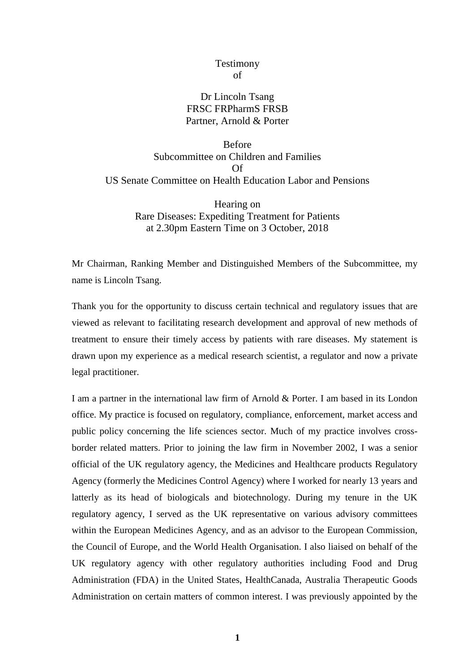## Testimony of

# Dr Lincoln Tsang FRSC FRPharmS FRSB Partner, Arnold & Porter

Before Subcommittee on Children and Families Of US Senate Committee on Health Education Labor and Pensions

> Hearing on Rare Diseases: Expediting Treatment for Patients at 2.30pm Eastern Time on 3 October, 2018

Mr Chairman, Ranking Member and Distinguished Members of the Subcommittee, my name is Lincoln Tsang.

Thank you for the opportunity to discuss certain technical and regulatory issues that are viewed as relevant to facilitating research development and approval of new methods of treatment to ensure their timely access by patients with rare diseases. My statement is drawn upon my experience as a medical research scientist, a regulator and now a private legal practitioner.

I am a partner in the international law firm of Arnold & Porter. I am based in its London office. My practice is focused on regulatory, compliance, enforcement, market access and public policy concerning the life sciences sector. Much of my practice involves crossborder related matters. Prior to joining the law firm in November 2002, I was a senior official of the UK regulatory agency, the Medicines and Healthcare products Regulatory Agency (formerly the Medicines Control Agency) where I worked for nearly 13 years and latterly as its head of biologicals and biotechnology. During my tenure in the UK regulatory agency, I served as the UK representative on various advisory committees within the European Medicines Agency, and as an advisor to the European Commission, the Council of Europe, and the World Health Organisation. I also liaised on behalf of the UK regulatory agency with other regulatory authorities including Food and Drug Administration (FDA) in the United States, HealthCanada, Australia Therapeutic Goods Administration on certain matters of common interest. I was previously appointed by the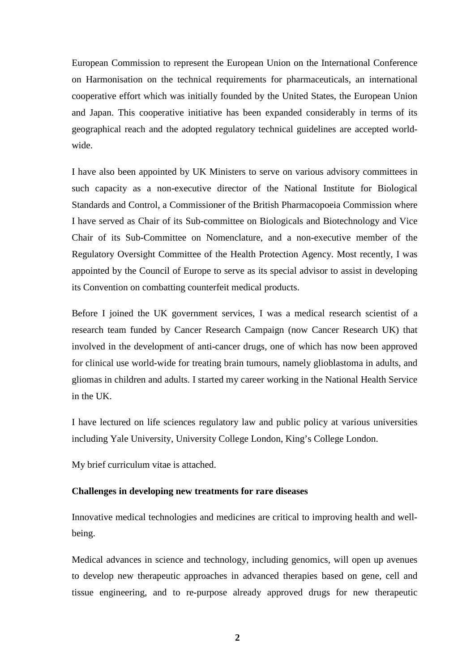European Commission to represent the European Union on the International Conference on Harmonisation on the technical requirements for pharmaceuticals, an international cooperative effort which was initially founded by the United States, the European Union and Japan. This cooperative initiative has been expanded considerably in terms of its geographical reach and the adopted regulatory technical guidelines are accepted worldwide.

I have also been appointed by UK Ministers to serve on various advisory committees in such capacity as a non-executive director of the National Institute for Biological Standards and Control, a Commissioner of the British Pharmacopoeia Commission where I have served as Chair of its Sub-committee on Biologicals and Biotechnology and Vice Chair of its Sub-Committee on Nomenclature, and a non-executive member of the Regulatory Oversight Committee of the Health Protection Agency. Most recently, I was appointed by the Council of Europe to serve as its special advisor to assist in developing its Convention on combatting counterfeit medical products.

Before I joined the UK government services, I was a medical research scientist of a research team funded by Cancer Research Campaign (now Cancer Research UK) that involved in the development of anti-cancer drugs, one of which has now been approved for clinical use world-wide for treating brain tumours, namely glioblastoma in adults, and gliomas in children and adults. I started my career working in the National Health Service in the UK.

I have lectured on life sciences regulatory law and public policy at various universities including Yale University, University College London, King's College London.

My brief curriculum vitae is attached.

### **Challenges in developing new treatments for rare diseases**

Innovative medical technologies and medicines are critical to improving health and wellbeing.

Medical advances in science and technology, including genomics, will open up avenues to develop new therapeutic approaches in advanced therapies based on gene, cell and tissue engineering, and to re-purpose already approved drugs for new therapeutic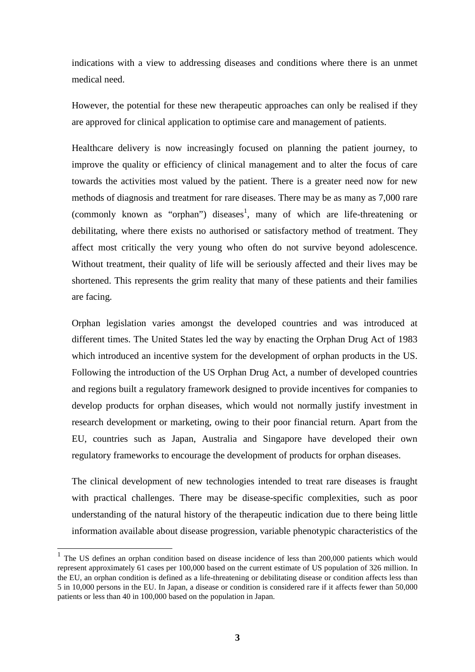indications with a view to addressing diseases and conditions where there is an unmet medical need.

However, the potential for these new therapeutic approaches can only be realised if they are approved for clinical application to optimise care and management of patients.

Healthcare delivery is now increasingly focused on planning the patient journey, to improve the quality or efficiency of clinical management and to alter the focus of care towards the activities most valued by the patient. There is a greater need now for new methods of diagnosis and treatment for rare diseases. There may be as many as 7,000 rare (commonly known as "orphan") diseases<sup>1</sup>, many of which are life-threatening or debilitating, where there exists no authorised or satisfactory method of treatment. They affect most critically the very young who often do not survive beyond adolescence. Without treatment, their quality of life will be seriously affected and their lives may be shortened. This represents the grim reality that many of these patients and their families are facing.

Orphan legislation varies amongst the developed countries and was introduced at different times. The United States led the way by enacting the Orphan Drug Act of 1983 which introduced an incentive system for the development of orphan products in the US. Following the introduction of the US Orphan Drug Act, a number of developed countries and regions built a regulatory framework designed to provide incentives for companies to develop products for orphan diseases, which would not normally justify investment in research development or marketing, owing to their poor financial return. Apart from the EU, countries such as Japan, Australia and Singapore have developed their own regulatory frameworks to encourage the development of products for orphan diseases.

The clinical development of new technologies intended to treat rare diseases is fraught with practical challenges. There may be disease-specific complexities, such as poor understanding of the natural history of the therapeutic indication due to there being little information available about disease progression, variable phenotypic characteristics of the

<sup>&</sup>lt;sup>1</sup> The US defines an orphan condition based on disease incidence of less than 200,000 patients which would represent approximately 61 cases per 100,000 based on the current estimate of US population of 326 million. In the EU, an orphan condition is defined as a life-threatening or debilitating disease or condition affects less than 5 in 10,000 persons in the EU. In Japan, a disease or condition is considered rare if it affects fewer than 50,000 patients or less than 40 in 100,000 based on the population in Japan.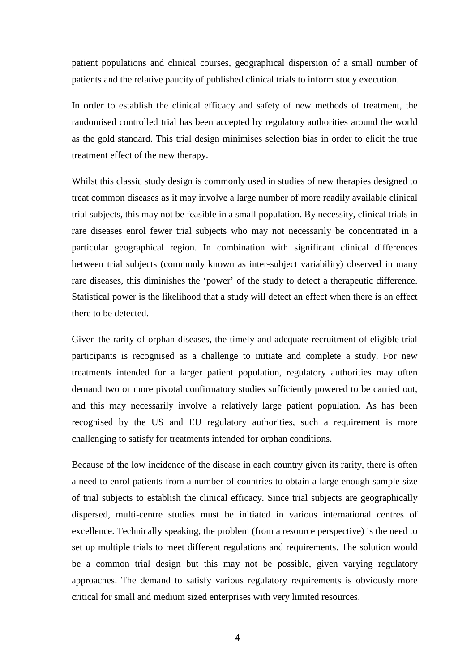patient populations and clinical courses, geographical dispersion of a small number of patients and the relative paucity of published clinical trials to inform study execution.

In order to establish the clinical efficacy and safety of new methods of treatment, the randomised controlled trial has been accepted by regulatory authorities around the world as the gold standard. This trial design minimises selection bias in order to elicit the true treatment effect of the new therapy.

Whilst this classic study design is commonly used in studies of new therapies designed to treat common diseases as it may involve a large number of more readily available clinical trial subjects, this may not be feasible in a small population. By necessity, clinical trials in rare diseases enrol fewer trial subjects who may not necessarily be concentrated in a particular geographical region. In combination with significant clinical differences between trial subjects (commonly known as inter-subject variability) observed in many rare diseases, this diminishes the 'power' of the study to detect a therapeutic difference. Statistical power is the likelihood that a study will detect an effect when there is an effect there to be detected.

Given the rarity of orphan diseases, the timely and adequate recruitment of eligible trial participants is recognised as a challenge to initiate and complete a study. For new treatments intended for a larger patient population, regulatory authorities may often demand two or more pivotal confirmatory studies sufficiently powered to be carried out, and this may necessarily involve a relatively large patient population. As has been recognised by the US and EU regulatory authorities, such a requirement is more challenging to satisfy for treatments intended for orphan conditions.

Because of the low incidence of the disease in each country given its rarity, there is often a need to enrol patients from a number of countries to obtain a large enough sample size of trial subjects to establish the clinical efficacy. Since trial subjects are geographically dispersed, multi-centre studies must be initiated in various international centres of excellence. Technically speaking, the problem (from a resource perspective) is the need to set up multiple trials to meet different regulations and requirements. The solution would be a common trial design but this may not be possible, given varying regulatory approaches. The demand to satisfy various regulatory requirements is obviously more critical for small and medium sized enterprises with very limited resources.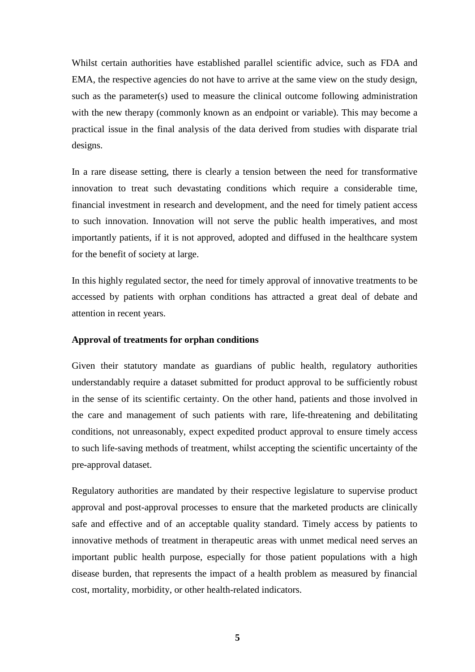Whilst certain authorities have established parallel scientific advice, such as FDA and EMA, the respective agencies do not have to arrive at the same view on the study design, such as the parameter(s) used to measure the clinical outcome following administration with the new therapy (commonly known as an endpoint or variable). This may become a practical issue in the final analysis of the data derived from studies with disparate trial designs.

In a rare disease setting, there is clearly a tension between the need for transformative innovation to treat such devastating conditions which require a considerable time, financial investment in research and development, and the need for timely patient access to such innovation. Innovation will not serve the public health imperatives, and most importantly patients, if it is not approved, adopted and diffused in the healthcare system for the benefit of society at large.

In this highly regulated sector, the need for timely approval of innovative treatments to be accessed by patients with orphan conditions has attracted a great deal of debate and attention in recent years.

#### **Approval of treatments for orphan conditions**

Given their statutory mandate as guardians of public health, regulatory authorities understandably require a dataset submitted for product approval to be sufficiently robust in the sense of its scientific certainty. On the other hand, patients and those involved in the care and management of such patients with rare, life-threatening and debilitating conditions, not unreasonably, expect expedited product approval to ensure timely access to such life-saving methods of treatment, whilst accepting the scientific uncertainty of the pre-approval dataset.

Regulatory authorities are mandated by their respective legislature to supervise product approval and post-approval processes to ensure that the marketed products are clinically safe and effective and of an acceptable quality standard. Timely access by patients to innovative methods of treatment in therapeutic areas with unmet medical need serves an important public health purpose, especially for those patient populations with a high disease burden, that represents the impact of a health problem as measured by financial cost, mortality, morbidity, or other health-related indicators.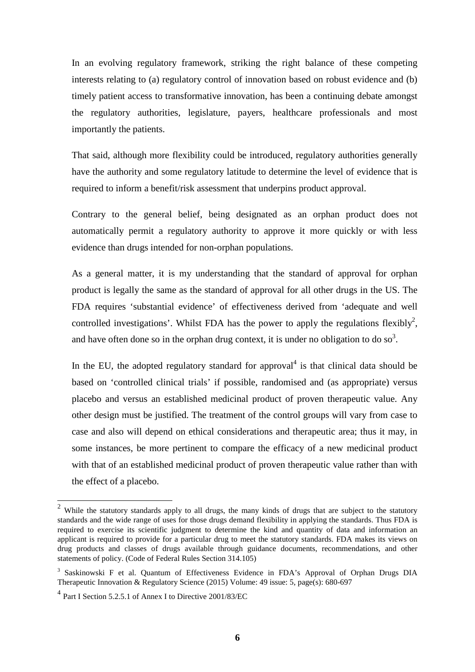In an evolving regulatory framework, striking the right balance of these competing interests relating to (a) regulatory control of innovation based on robust evidence and (b) timely patient access to transformative innovation, has been a continuing debate amongst the regulatory authorities, legislature, payers, healthcare professionals and most importantly the patients.

That said, although more flexibility could be introduced, regulatory authorities generally have the authority and some regulatory latitude to determine the level of evidence that is required to inform a benefit/risk assessment that underpins product approval.

Contrary to the general belief, being designated as an orphan product does not automatically permit a regulatory authority to approve it more quickly or with less evidence than drugs intended for non-orphan populations.

As a general matter, it is my understanding that the standard of approval for orphan product is legally the same as the standard of approval for all other drugs in the US. The FDA requires 'substantial evidence' of effectiveness derived from 'adequate and well controlled investigations'. Whilst FDA has the power to apply the regulations flexibly<sup>2</sup>, and have often done so in the orphan drug context, it is under no obligation to do so<sup>3</sup>.

In the EU, the adopted regulatory standard for approval<sup>4</sup> is that clinical data should be based on 'controlled clinical trials' if possible, randomised and (as appropriate) versus placebo and versus an established medicinal product of proven therapeutic value. Any other design must be justified. The treatment of the control groups will vary from case to case and also will depend on ethical considerations and therapeutic area; thus it may, in some instances, be more pertinent to compare the efficacy of a new medicinal product with that of an established medicinal product of proven therapeutic value rather than with the effect of a placebo.

<sup>2</sup> While the statutory standards apply to all drugs, the many kinds of drugs that are subject to the statutory standards and the wide range of uses for those drugs demand flexibility in applying the standards. Thus FDA is required to exercise its scientific judgment to determine the kind and quantity of data and information an applicant is required to provide for a particular drug to meet the statutory standards. FDA makes its views on drug products and classes of drugs available through guidance documents, recommendations, and other statements of policy. (Code of Federal Rules Section 314.105)

<sup>&</sup>lt;sup>3</sup> Saskinowski F et al. Quantum of Effectiveness Evidence in FDA's Approval of Orphan Drugs DIA Therapeutic Innovation & Regulatory Science (2015) Volume: 49 issue: 5, page(s): 680-697

<sup>4</sup> Part I Section 5.2.5.1 of Annex I to Directive 2001/83/EC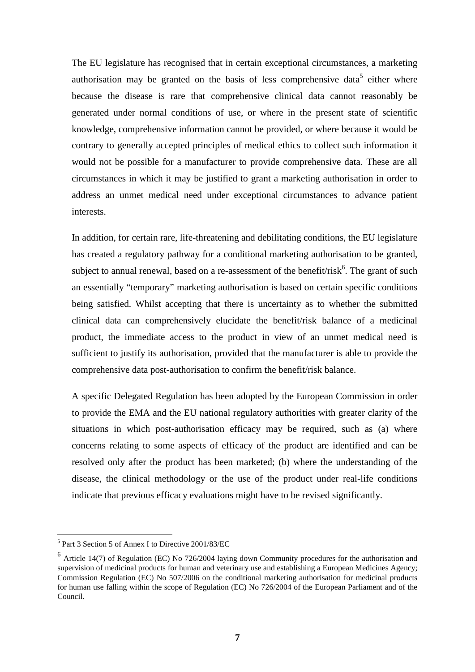The EU legislature has recognised that in certain exceptional circumstances, a marketing authorisation may be granted on the basis of less comprehensive data<sup>5</sup> either where because the disease is rare that comprehensive clinical data cannot reasonably be generated under normal conditions of use, or where in the present state of scientific knowledge, comprehensive information cannot be provided, or where because it would be contrary to generally accepted principles of medical ethics to collect such information it would not be possible for a manufacturer to provide comprehensive data. These are all circumstances in which it may be justified to grant a marketing authorisation in order to address an unmet medical need under exceptional circumstances to advance patient interests.

In addition, for certain rare, life-threatening and debilitating conditions, the EU legislature has created a regulatory pathway for a conditional marketing authorisation to be granted, subject to annual renewal, based on a re-assessment of the benefit/risk $<sup>6</sup>$ . The grant of such</sup> an essentially "temporary" marketing authorisation is based on certain specific conditions being satisfied. Whilst accepting that there is uncertainty as to whether the submitted clinical data can comprehensively elucidate the benefit/risk balance of a medicinal product, the immediate access to the product in view of an unmet medical need is sufficient to justify its authorisation, provided that the manufacturer is able to provide the comprehensive data post-authorisation to confirm the benefit/risk balance.

A specific Delegated Regulation has been adopted by the European Commission in order to provide the EMA and the EU national regulatory authorities with greater clarity of the situations in which post-authorisation efficacy may be required, such as (a) where concerns relating to some aspects of efficacy of the product are identified and can be resolved only after the product has been marketed; (b) where the understanding of the disease, the clinical methodology or the use of the product under real-life conditions indicate that previous efficacy evaluations might have to be revised significantly.

<sup>5</sup> Part 3 Section 5 of Annex I to Directive 2001/83/EC

<sup>&</sup>lt;sup>6</sup> Article 14(7) of Regulation (EC) No 726/2004 laying down Community procedures for the authorisation and supervision of medicinal products for human and veterinary use and establishing a European Medicines Agency; Commission Regulation (EC) No 507/2006 on the conditional marketing authorisation for medicinal products for human use falling within the scope of Regulation (EC) No 726/2004 of the European Parliament and of the Council.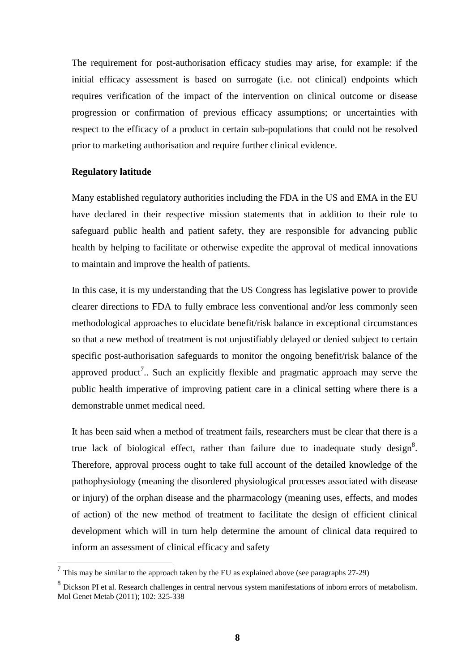The requirement for post-authorisation efficacy studies may arise, for example: if the initial efficacy assessment is based on surrogate (i.e. not clinical) endpoints which requires verification of the impact of the intervention on clinical outcome or disease progression or confirmation of previous efficacy assumptions; or uncertainties with respect to the efficacy of a product in certain sub-populations that could not be resolved prior to marketing authorisation and require further clinical evidence.

### **Regulatory latitude**

Many established regulatory authorities including the FDA in the US and EMA in the EU have declared in their respective mission statements that in addition to their role to safeguard public health and patient safety, they are responsible for advancing public health by helping to facilitate or otherwise expedite the approval of medical innovations to maintain and improve the health of patients.

In this case, it is my understanding that the US Congress has legislative power to provide clearer directions to FDA to fully embrace less conventional and/or less commonly seen methodological approaches to elucidate benefit/risk balance in exceptional circumstances so that a new method of treatment is not unjustifiably delayed or denied subject to certain specific post-authorisation safeguards to monitor the ongoing benefit/risk balance of the approved product<sup>7</sup>.. Such an explicitly flexible and pragmatic approach may serve the public health imperative of improving patient care in a clinical setting where there is a demonstrable unmet medical need.

It has been said when a method of treatment fails, researchers must be clear that there is a true lack of biological effect, rather than failure due to inadequate study design<sup>8</sup>. Therefore, approval process ought to take full account of the detailed knowledge of the pathophysiology (meaning the disordered physiological processes associated with disease or injury) of the orphan disease and the pharmacology (meaning uses, effects, and modes of action) of the new method of treatment to facilitate the design of efficient clinical development which will in turn help determine the amount of clinical data required to inform an assessment of clinical efficacy and safety

 $<sup>7</sup>$  This may be similar to the approach taken by the EU as explained above (see paragraphs 27-29)</sup>

<sup>&</sup>lt;sup>8</sup> Dickson PI et al. Research challenges in central nervous system manifestations of inborn errors of metabolism. Mol Genet Metab (2011); 102: 325-338